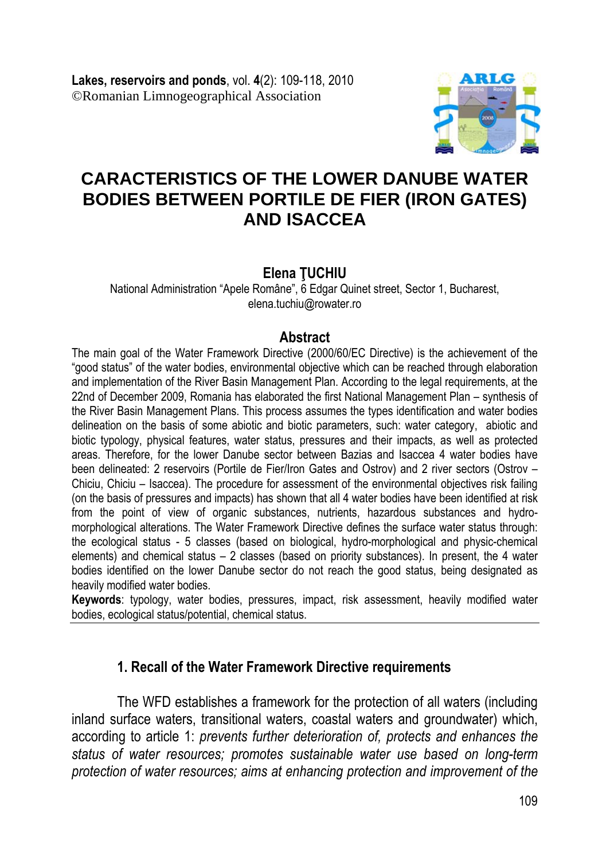

# **CARACTERISTICS OF THE LOWER DANUBE WATER BODIES BETWEEN PORTILE DE FIER (IRON GATES) AND ISACCEA**

#### **Elena ŢUCHIU**

National Administration "Apele Române", 6 Edgar Quinet street, Sector 1, Bucharest, elena.tuchiu@rowater.ro

#### **Abstract**

The main goal of the Water Framework Directive (2000/60/EC Directive) is the achievement of the "good status" of the water bodies, environmental objective which can be reached through elaboration and implementation of the River Basin Management Plan. According to the legal requirements, at the 22nd of December 2009, Romania has elaborated the first National Management Plan – synthesis of the River Basin Management Plans. This process assumes the types identification and water bodies delineation on the basis of some abiotic and biotic parameters, such: water category, abiotic and biotic typology, physical features, water status, pressures and their impacts, as well as protected areas. Therefore, for the lower Danube sector between Bazias and Isaccea 4 water bodies have been delineated: 2 reservoirs (Portile de Fier/Iron Gates and Ostrov) and 2 river sectors (Ostrov – Chiciu, Chiciu – Isaccea). The procedure for assessment of the environmental objectives risk failing (on the basis of pressures and impacts) has shown that all 4 water bodies have been identified at risk from the point of view of organic substances, nutrients, hazardous substances and hydromorphological alterations. The Water Framework Directive defines the surface water status through: the ecological status - 5 classes (based on biological, hydro-morphological and physic-chemical elements) and chemical status  $-2$  classes (based on priority substances). In present, the 4 water bodies identified on the lower Danube sector do not reach the good status, being designated as heavily modified water bodies.

**Keywords**: typology, water bodies, pressures, impact, risk assessment, heavily modified water bodies, ecological status/potential, chemical status.

## **1. Recall of the Water Framework Directive requirements**

The WFD establishes a framework for the protection of all waters (including inland surface waters, transitional waters, coastal waters and groundwater) which, according to article 1: *prevents further deterioration of, protects and enhances the status of water resources; promotes sustainable water use based on long-term protection of water resources; aims at enhancing protection and improvement of the*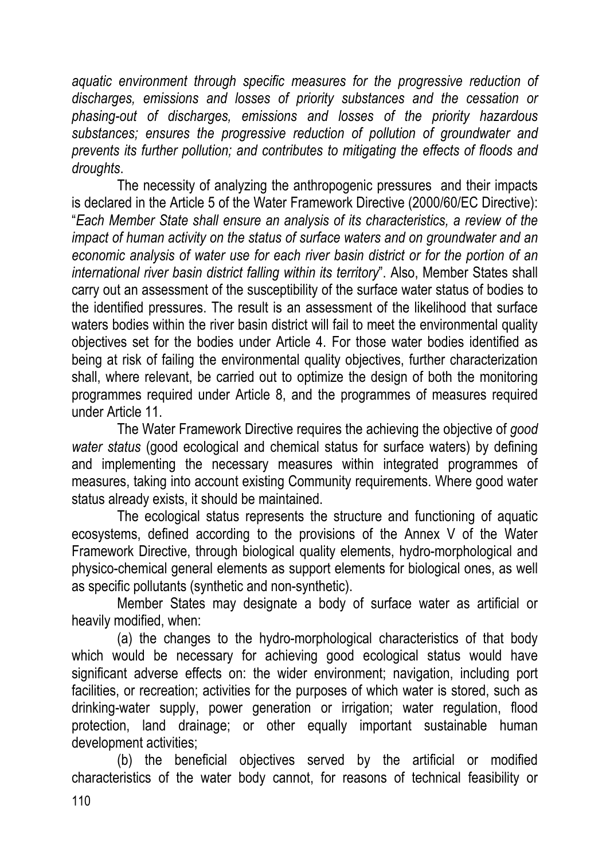*aquatic environment through specific measures for the progressive reduction of discharges, emissions and losses of priority substances and the cessation or phasing-out of discharges, emissions and losses of the priority hazardous substances; ensures the progressive reduction of pollution of groundwater and prevents its further pollution; and contributes to mitigating the effects of floods and droughts*.

The necessity of analyzing the anthropogenic pressures and their impacts is declared in the Article 5 of the Water Framework Directive (2000/60/EC Directive): "*Each Member State shall ensure an analysis of its characteristics, a review of the impact of human activity on the status of surface waters and on groundwater and an economic analysis of water use for each river basin district or for the portion of an international river basin district falling within its territory*". Also, Member States shall carry out an assessment of the susceptibility of the surface water status of bodies to the identified pressures. The result is an assessment of the likelihood that surface waters bodies within the river basin district will fail to meet the environmental quality objectives set for the bodies under Article 4. For those water bodies identified as being at risk of failing the environmental quality objectives, further characterization shall, where relevant, be carried out to optimize the design of both the monitoring programmes required under Article 8, and the programmes of measures required under Article 11.

The Water Framework Directive requires the achieving the objective of *good water status* (good ecological and chemical status for surface waters) by defining and implementing the necessary measures within integrated programmes of measures, taking into account existing Community requirements. Where good water status already exists, it should be maintained.

The ecological status represents the structure and functioning of aquatic ecosystems, defined according to the provisions of the Annex V of the Water Framework Directive, through biological quality elements, hydro-morphological and physico-chemical general elements as support elements for biological ones, as well as specific pollutants (synthetic and non-synthetic).

Member States may designate a body of surface water as artificial or heavily modified, when:

(a) the changes to the hydro-morphological characteristics of that body which would be necessary for achieving good ecological status would have significant adverse effects on: the wider environment; navigation, including port facilities, or recreation; activities for the purposes of which water is stored, such as drinking-water supply, power generation or irrigation; water regulation, flood protection, land drainage; or other equally important sustainable human development activities;

(b) the beneficial objectives served by the artificial or modified characteristics of the water body cannot, for reasons of technical feasibility or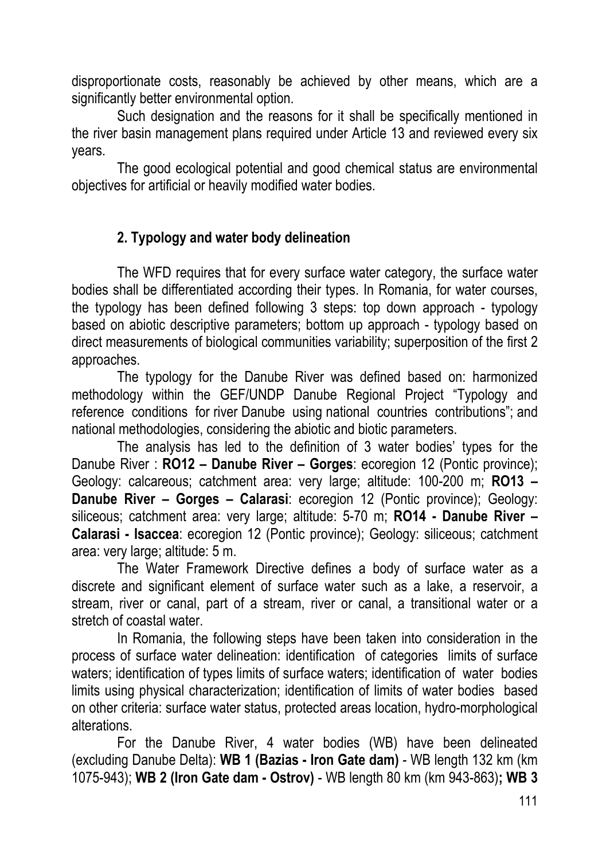disproportionate costs, reasonably be achieved by other means, which are a significantly better environmental option.

Such designation and the reasons for it shall be specifically mentioned in the river basin management plans required under Article 13 and reviewed every six years.

The good ecological potential and good chemical status are environmental objectives for artificial or heavily modified water bodies.

# **2. Typology and water body delineation**

The WFD requires that for every surface water category, the surface water bodies shall be differentiated according their types. In Romania, for water courses, the typology has been defined following 3 steps: top down approach - typology based on abiotic descriptive parameters; bottom up approach - typology based on direct measurements of biological communities variability; superposition of the first 2 approaches.

The typology for the Danube River was defined based on: harmonized methodology within the GEF/UNDP Danube Regional Project "Typology and reference conditions for river Danube using national countries contributions"; and national methodologies, considering the abiotic and biotic parameters.

The analysis has led to the definition of 3 water bodies' types for the Danube River : **RO12 – Danube River – Gorges**: ecoregion 12 (Pontic province); Geology: calcareous; catchment area: very large; altitude: 100-200 m; **RO13 – Danube River – Gorges – Calarasi**: ecoregion 12 (Pontic province); Geology: siliceous; catchment area: very large; altitude: 5-70 m; **RO14 - Danube River – Calarasi - Isaccea**: ecoregion 12 (Pontic province); Geology: siliceous; catchment area: very large; altitude: 5 m.

The Water Framework Directive defines a body of surface water as a discrete and significant element of surface water such as a lake, a reservoir, a stream, river or canal, part of a stream, river or canal, a transitional water or a stretch of coastal water.

In Romania, the following steps have been taken into consideration in the process of surface water delineation: identification of categories limits of surface waters; identification of types limits of surface waters; identification of water bodies limits using physical characterization; identification of limits of water bodies based on other criteria: surface water status, protected areas location, hydro-morphological alterations.

For the Danube River, 4 water bodies (WB) have been delineated (excluding Danube Delta): **WB 1 (Bazias - Iron Gate dam)** - WB length 132 km (km 1075-943); **WB 2 (Iron Gate dam - Ostrov)** - WB length 80 km (km 943-863)**; WB 3**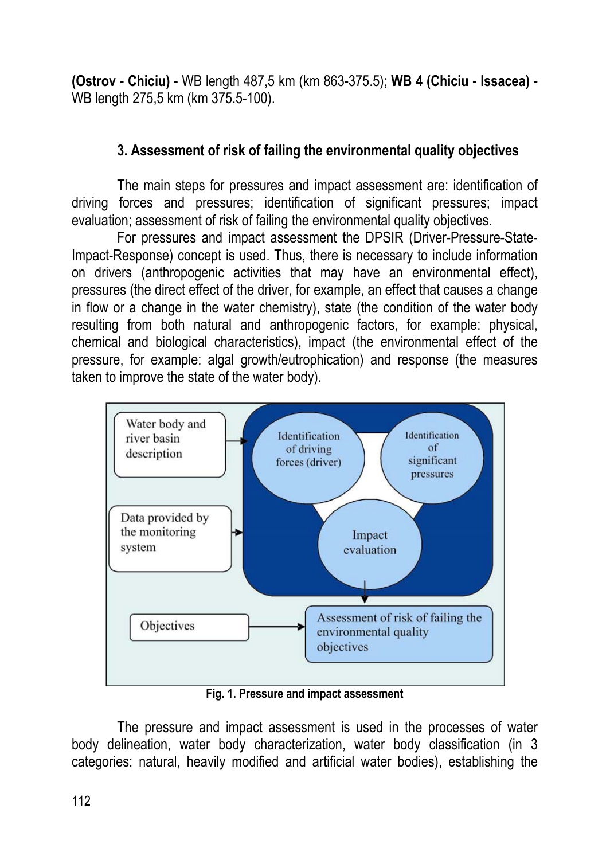**(Ostrov - Chiciu)** - WB length 487,5 km (km 863-375.5); **WB 4 (Chiciu - Issacea)** - WB length 275,5 km (km 375.5-100).

## **3. Assessment of risk of failing the environmental quality objectives**

The main steps for pressures and impact assessment are: identification of driving forces and pressures; identification of significant pressures; impact evaluation; assessment of risk of failing the environmental quality objectives.

For pressures and impact assessment the DPSIR (Driver-Pressure-State-Impact-Response) concept is used. Thus, there is necessary to include information on drivers (anthropogenic activities that may have an environmental effect), pressures (the direct effect of the driver, for example, an effect that causes a change in flow or a change in the water chemistry), state (the condition of the water body resulting from both natural and anthropogenic factors, for example: physical, chemical and biological characteristics), impact (the environmental effect of the pressure, for example: algal growth/eutrophication) and response (the measures taken to improve the state of the water body).



**Fig. 1. Pressure and impact assessment** 

The pressure and impact assessment is used in the processes of water body delineation, water body characterization, water body classification (in 3 categories: natural, heavily modified and artificial water bodies), establishing the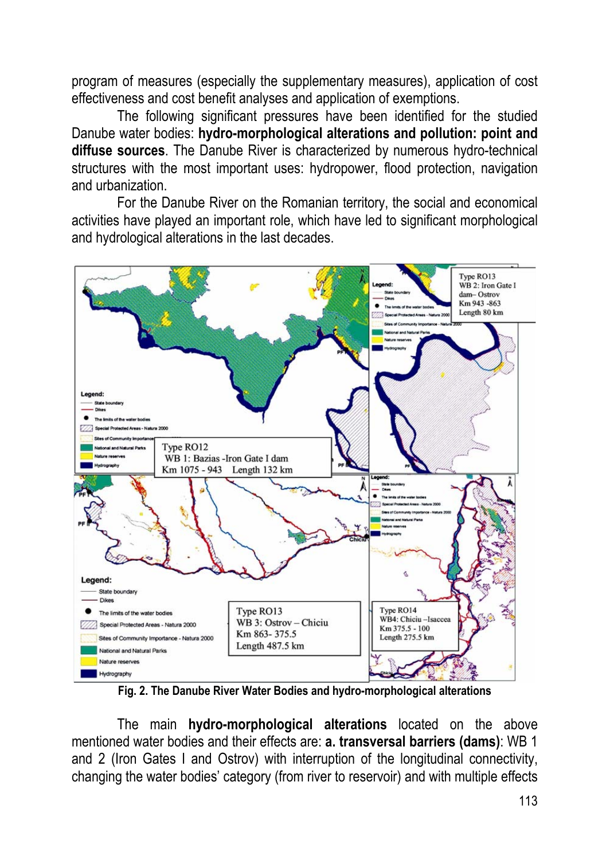program of measures (especially the supplementary measures), application of cost effectiveness and cost benefit analyses and application of exemptions.

The following significant pressures have been identified for the studied Danube water bodies: **hydro-morphological alterations and pollution: point and diffuse sources**. The Danube River is characterized by numerous hydro-technical structures with the most important uses: hydropower, flood protection, navigation and urbanization.

For the Danube River on the Romanian territory, the social and economical activities have played an important role, which have led to significant morphological and hydrological alterations in the last decades.



**Fig. 2. The Danube River Water Bodies and hydro-morphological alterations** 

The main **hydro-morphological alterations** located on the above mentioned water bodies and their effects are: **a. transversal barriers (dams)**: WB 1 and 2 (Iron Gates I and Ostrov) with interruption of the longitudinal connectivity, changing the water bodies' category (from river to reservoir) and with multiple effects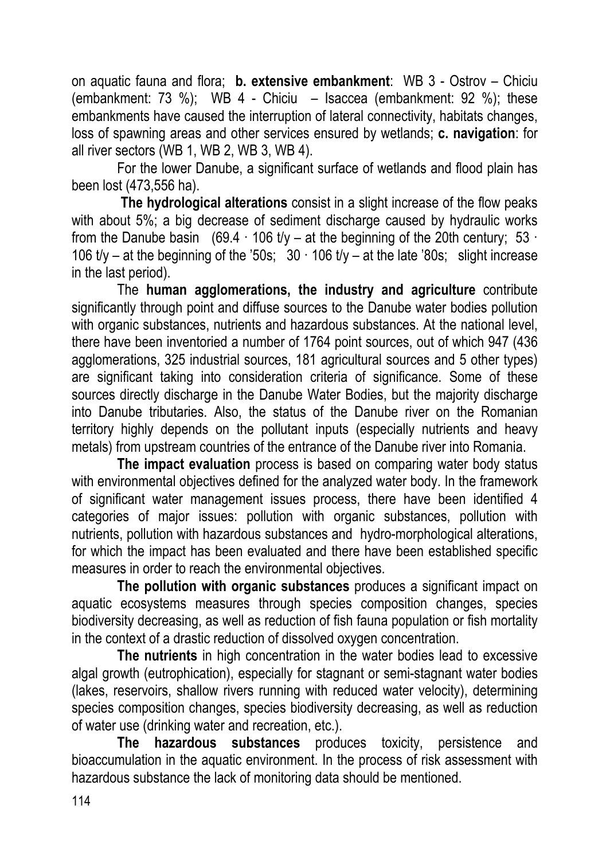on aquatic fauna and flora; **b. extensive embankment**: WB 3 - Ostrov – Chiciu (embankment: 73 %); WB 4 - Chiciu – Isaccea (embankment: 92 %); these embankments have caused the interruption of lateral connectivity, habitats changes, loss of spawning areas and other services ensured by wetlands; **c. navigation**: for all river sectors (WB 1, WB 2, WB 3, WB 4).

For the lower Danube, a significant surface of wetlands and flood plain has been lost (473,556 ha).

**The hydrological alterations** consist in a slight increase of the flow peaks with about 5%; a big decrease of sediment discharge caused by hydraulic works from the Danube basin (69.4  $\cdot$  106 t/y – at the beginning of the 20th century; 53 106 t/y – at the beginning of the '50s;  $30 \cdot 106$  t/y – at the late '80s; slight increase in the last period).

The **human agglomerations, the industry and agriculture** contribute significantly through point and diffuse sources to the Danube water bodies pollution with organic substances, nutrients and hazardous substances. At the national level, there have been inventoried a number of 1764 point sources, out of which 947 (436 agglomerations, 325 industrial sources, 181 agricultural sources and 5 other types) are significant taking into consideration criteria of significance. Some of these sources directly discharge in the Danube Water Bodies, but the majority discharge into Danube tributaries. Also, the status of the Danube river on the Romanian territory highly depends on the pollutant inputs (especially nutrients and heavy metals) from upstream countries of the entrance of the Danube river into Romania.

**The impact evaluation** process is based on comparing water body status with environmental objectives defined for the analyzed water body. In the framework of significant water management issues process, there have been identified 4 categories of major issues: pollution with organic substances, pollution with nutrients, pollution with hazardous substances and hydro-morphological alterations, for which the impact has been evaluated and there have been established specific measures in order to reach the environmental objectives.

**The pollution with organic substances** produces a significant impact on aquatic ecosystems measures through species composition changes, species biodiversity decreasing, as well as reduction of fish fauna population or fish mortality in the context of a drastic reduction of dissolved oxygen concentration.

**The nutrients** in high concentration in the water bodies lead to excessive algal growth (eutrophication), especially for stagnant or semi-stagnant water bodies (lakes, reservoirs, shallow rivers running with reduced water velocity), determining species composition changes, species biodiversity decreasing, as well as reduction of water use (drinking water and recreation, etc.).

**The hazardous substances** produces toxicity, persistence and bioaccumulation in the aquatic environment. In the process of risk assessment with hazardous substance the lack of monitoring data should be mentioned.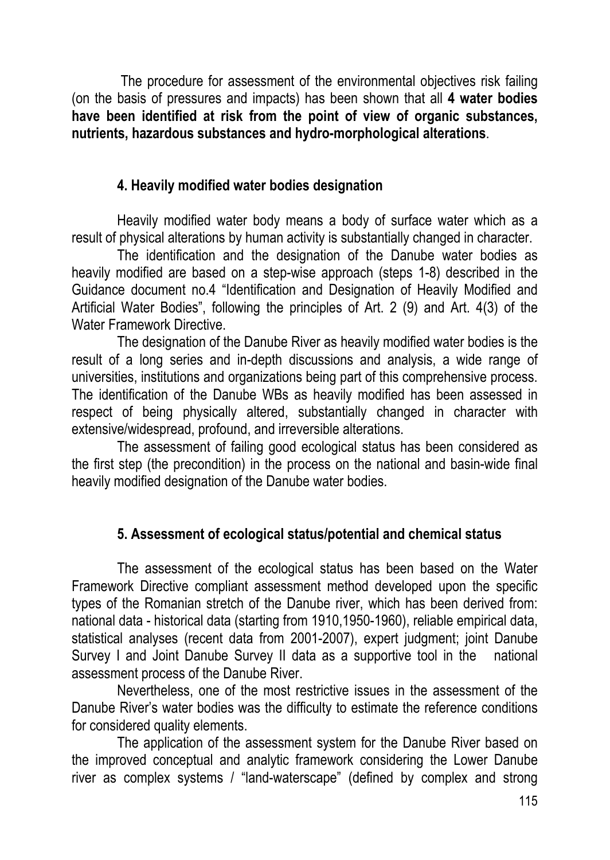The procedure for assessment of the environmental objectives risk failing (on the basis of pressures and impacts) has been shown that all **4 water bodies have been identified at risk from the point of view of organic substances, nutrients, hazardous substances and hydro-morphological alterations**.

### **4. Heavily modified water bodies designation**

Heavily modified water body means a body of surface water which as a result of physical alterations by human activity is substantially changed in character.

The identification and the designation of the Danube water bodies as heavily modified are based on a step-wise approach (steps 1-8) described in the Guidance document no.4 "Identification and Designation of Heavily Modified and Artificial Water Bodies", following the principles of Art. 2 (9) and Art. 4(3) of the Water Framework Directive.

The designation of the Danube River as heavily modified water bodies is the result of a long series and in-depth discussions and analysis, a wide range of universities, institutions and organizations being part of this comprehensive process. The identification of the Danube WBs as heavily modified has been assessed in respect of being physically altered, substantially changed in character with extensive/widespread, profound, and irreversible alterations.

The assessment of failing good ecological status has been considered as the first step (the precondition) in the process on the national and basin-wide final heavily modified designation of the Danube water bodies.

# **5. Assessment of ecological status/potential and chemical status**

The assessment of the ecological status has been based on the Water Framework Directive compliant assessment method developed upon the specific types of the Romanian stretch of the Danube river, which has been derived from: national data - historical data (starting from 1910,1950-1960), reliable empirical data, statistical analyses (recent data from 2001-2007), expert judgment; joint Danube Survey I and Joint Danube Survey II data as a supportive tool in the national assessment process of the Danube River.

Nevertheless, one of the most restrictive issues in the assessment of the Danube River's water bodies was the difficulty to estimate the reference conditions for considered quality elements.

The application of the assessment system for the Danube River based on the improved conceptual and analytic framework considering the Lower Danube river as complex systems / "land-waterscape" (defined by complex and strong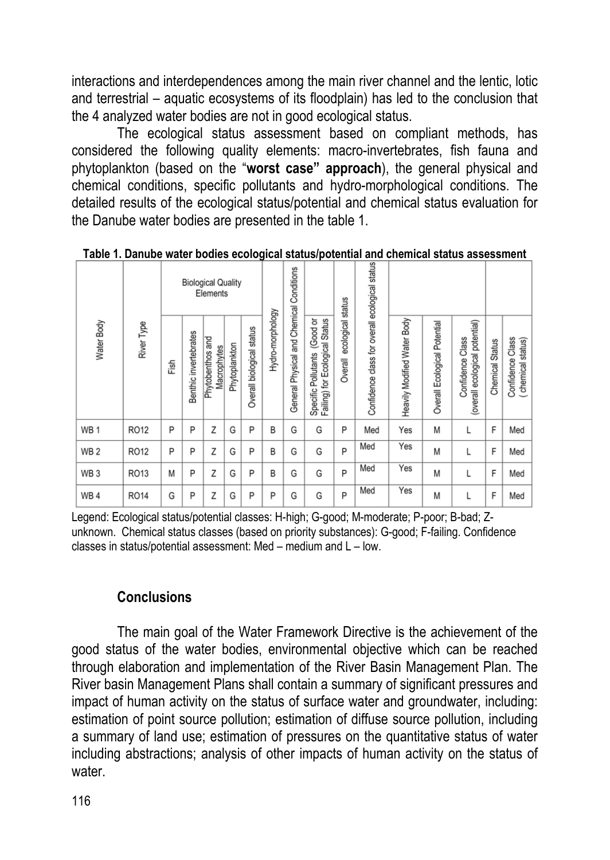interactions and interdependences among the main river channel and the lentic, lotic and terrestrial – aquatic ecosystems of its floodplain) has led to the conclusion that the 4 analyzed water bodies are not in good ecological status.

The ecological status assessment based on compliant methods, has considered the following quality elements: macro-invertebrates, fish fauna and phytoplankton (based on the "**worst case" approach**), the general physical and chemical conditions, specific pollutants and hydro-morphological conditions. The detailed results of the ecological status/potential and chemical status evaluation for the Danube water bodies are presented in the table 1.

| Water Body      | River Type  | <b>Biological Quality</b><br>Elements |                       |                                 |               |                              |                  |                                          |                                                                |                              |                                                |                             |                                 |                                                    |                           |                                       |
|-----------------|-------------|---------------------------------------|-----------------------|---------------------------------|---------------|------------------------------|------------------|------------------------------------------|----------------------------------------------------------------|------------------------------|------------------------------------------------|-----------------------------|---------------------------------|----------------------------------------------------|---------------------------|---------------------------------------|
|                 |             | Fish                                  | Benthic invertebrates | Phytobenthos and<br>Macrophytes | Phytoplankton | status<br>Overall biological | Hydro-morphology | General Physical and Chemical Conditions | Specific Pollutants (Good or<br>Failing) for Ecological Status | ecological status<br>Overall | Confidence class for overall ecological status | Heavily Modified Water Body | Potential<br>Overall Ecological | (overall ecological potential)<br>Confidence Class | <b>Status</b><br>Chemical | Confidence Class<br>(chemical status) |
| WB <sub>1</sub> | RO12        | P                                     | P                     | Z                               | G             | P                            | B                | G                                        | G                                                              | P                            | Med                                            | Yes                         | M                               |                                                    | F                         | Med                                   |
| WB <sub>2</sub> | RO12        | P                                     | P                     | Z                               | G             | P                            | B                | G                                        | G                                                              | P                            | Med                                            | Yes                         | M                               | L                                                  | F                         | Med                                   |
| WB <sub>3</sub> | RO13        | M                                     | P                     | Z                               | G             | P                            | B                | G                                        | G                                                              | P                            | Med                                            | Yes                         | M                               | L                                                  | F                         | Med                                   |
| WB4             | <b>RO14</b> | G                                     | P                     | Z                               | G             | P                            | P                | G                                        | G                                                              | P                            | Med                                            | Yes                         | M                               |                                                    | F                         | Med                                   |

**Table 1. Danube water bodies ecological status/potential and chemical status assessment** 

Legend: Ecological status/potential classes: H-high; G-good; M-moderate; P-poor; B-bad; Zunknown. Chemical status classes (based on priority substances): G-good; F-failing. Confidence classes in status/potential assessment: Med – medium and L – low.

# **Conclusions**

The main goal of the Water Framework Directive is the achievement of the good status of the water bodies, environmental objective which can be reached through elaboration and implementation of the River Basin Management Plan. The River basin Management Plans shall contain a summary of significant pressures and impact of human activity on the status of surface water and groundwater, including: estimation of point source pollution; estimation of diffuse source pollution, including a summary of land use; estimation of pressures on the quantitative status of water including abstractions; analysis of other impacts of human activity on the status of water.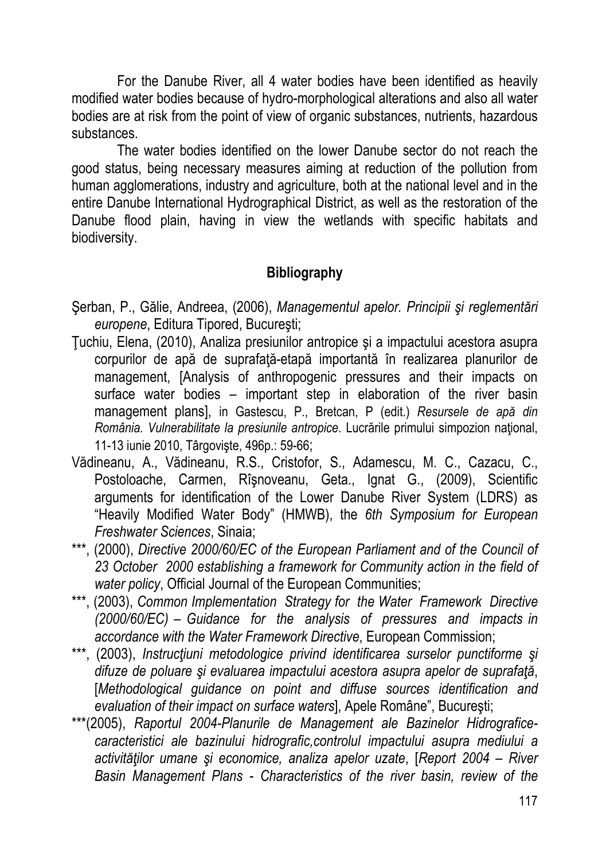For the Danube River, all 4 water bodies have been identified as heavily modified water bodies because of hydro-morphological alterations and also all water bodies are at risk from the point of view of organic substances, nutrients, hazardous substances.

The water bodies identified on the lower Danube sector do not reach the good status, being necessary measures aiming at reduction of the pollution from human agglomerations, industry and agriculture, both at the national level and in the entire Danube International Hydrographical District, as well as the restoration of the Danube flood plain, having in view the wetlands with specific habitats and biodiversity.

# **Bibliography**

- Şerban, P., Gălie, Andreea, (2006), *Managementul apelor. Principii şi reglementări europene*, Editura Tipored, Bucureşti;
- Ţuchiu, Elena, (2010), Analiza presiunilor antropice şi a impactului acestora asupra corpurilor de apă de suprafaţă-etapă importantă în realizarea planurilor de management, [Analysis of anthropogenic pressures and their impacts on surface water bodies – important step in elaboration of the river basin management plans], in Gastescu, P., Bretcan, P (edit.) *Resursele de apă din România. Vulnerabilitate la presiunile antropice*. Lucrările primului simpozion naţional, 11-13 iunie 2010, Târgovişte, 496p.: 59-66;
- Vădineanu, A., Vădineanu, R.S., Cristofor, S., Adamescu, M. C., Cazacu, C., Postoloache, Carmen, Rîşnoveanu, Geta., Ignat G., (2009), Scientific arguments for identification of the Lower Danube River System (LDRS) as "Heavily Modified Water Body" (HMWB), the *6th Symposium for European Freshwater Sciences*, Sinaia;
- \*\*\*, (2000), *Directive 2000/60/EC of the European Parliament and of the Council of 23 October 2000 establishing a framework for Community action in the field of water policy*, Official Journal of the European Communities;
- \*\*\*, (2003), *Common Implementation Strategy for the Water Framework Directive (2000/60/EC) – Guidance for the analysis of pressures and impacts in accordance with the Water Framework Directive*, European Commission;
- \*\*\*, (2003), *Instrucţiuni metodologice privind identificarea surselor punctiforme şi difuze de poluare şi evaluarea impactului acestora asupra apelor de suprafaţă*, [*Methodological guidance on point and diffuse sources identification and evaluation of their impact on surface waters*], Apele Române", Bucureşti;
- \*\*\*(2005), *Raportul 2004-Planurile de Management ale Bazinelor Hidrograficecaracteristici ale bazinului hidrografic,controlul impactului asupra mediului a activităţilor umane şi economice, analiza apelor uzate*, [*Report 2004 – River Basin Management Plans - Characteristics of the river basin, review of the*